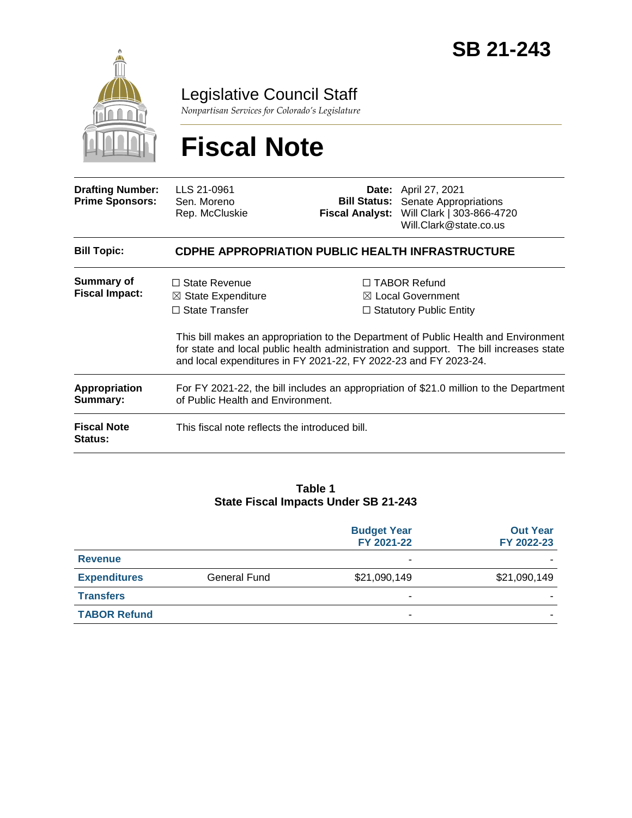

## Legislative Council Staff

*Nonpartisan Services for Colorado's Legislature*

# **Fiscal Note**

| <b>Drafting Number:</b><br><b>Prime Sponsors:</b> | LLS 21-0961<br>Sen. Moreno<br>Rep. McCluskie                                                                                                                                                                                                      |  | <b>Date:</b> April 27, 2021<br><b>Bill Status:</b> Senate Appropriations<br>Fiscal Analyst: Will Clark   303-866-4720<br>Will.Clark@state.co.us |
|---------------------------------------------------|---------------------------------------------------------------------------------------------------------------------------------------------------------------------------------------------------------------------------------------------------|--|-------------------------------------------------------------------------------------------------------------------------------------------------|
| <b>Bill Topic:</b>                                | <b>CDPHE APPROPRIATION PUBLIC HEALTH INFRASTRUCTURE</b>                                                                                                                                                                                           |  |                                                                                                                                                 |
| <b>Summary of</b><br><b>Fiscal Impact:</b>        | $\Box$ State Revenue<br>$\boxtimes$ State Expenditure<br>$\Box$ State Transfer                                                                                                                                                                    |  | $\Box$ TABOR Refund<br>$\boxtimes$ Local Government<br>$\Box$ Statutory Public Entity                                                           |
|                                                   | This bill makes an appropriation to the Department of Public Health and Environment<br>for state and local public health administration and support. The bill increases state<br>and local expenditures in FY 2021-22, FY 2022-23 and FY 2023-24. |  |                                                                                                                                                 |
| Appropriation<br>Summary:                         | For FY 2021-22, the bill includes an appropriation of \$21.0 million to the Department<br>of Public Health and Environment.                                                                                                                       |  |                                                                                                                                                 |
| <b>Fiscal Note</b><br><b>Status:</b>              | This fiscal note reflects the introduced bill.                                                                                                                                                                                                    |  |                                                                                                                                                 |

#### **Table 1 State Fiscal Impacts Under SB 21-243**

|                     |              | <b>Budget Year</b><br>FY 2021-22 | <b>Out Year</b><br>FY 2022-23 |
|---------------------|--------------|----------------------------------|-------------------------------|
| <b>Revenue</b>      |              |                                  |                               |
| <b>Expenditures</b> | General Fund | \$21,090,149                     | \$21,090,149                  |
| <b>Transfers</b>    |              |                                  |                               |
| <b>TABOR Refund</b> |              |                                  |                               |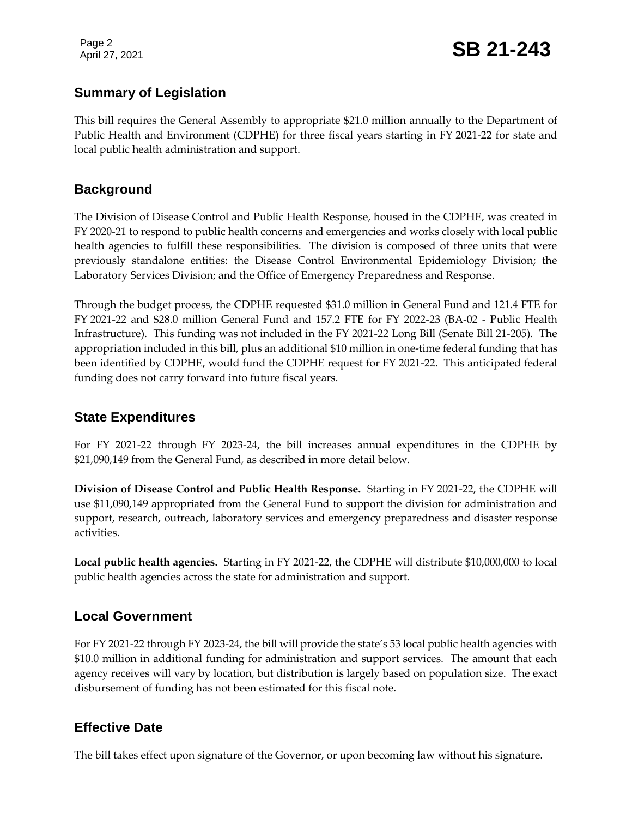Page 2

#### **Summary of Legislation**

This bill requires the General Assembly to appropriate \$21.0 million annually to the Department of Public Health and Environment (CDPHE) for three fiscal years starting in FY 2021-22 for state and local public health administration and support.

#### **Background**

The Division of Disease Control and Public Health Response, housed in the CDPHE, was created in FY 2020-21 to respond to public health concerns and emergencies and works closely with local public health agencies to fulfill these responsibilities. The division is composed of three units that were previously standalone entities: the Disease Control Environmental Epidemiology Division; the Laboratory Services Division; and the Office of Emergency Preparedness and Response.

Through the budget process, the CDPHE requested \$31.0 million in General Fund and 121.4 FTE for FY 2021-22 and \$28.0 million General Fund and 157.2 FTE for FY 2022-23 (BA-02 - Public Health Infrastructure). This funding was not included in the FY 2021-22 Long Bill (Senate Bill 21-205). The appropriation included in this bill, plus an additional \$10 million in one-time federal funding that has been identified by CDPHE, would fund the CDPHE request for FY 2021-22. This anticipated federal funding does not carry forward into future fiscal years.

#### **State Expenditures**

For FY 2021-22 through FY 2023-24, the bill increases annual expenditures in the CDPHE by \$21,090,149 from the General Fund, as described in more detail below.

**Division of Disease Control and Public Health Response.** Starting in FY 2021-22, the CDPHE will use \$11,090,149 appropriated from the General Fund to support the division for administration and support, research, outreach, laboratory services and emergency preparedness and disaster response activities.

**Local public health agencies.** Starting in FY 2021-22, the CDPHE will distribute \$10,000,000 to local public health agencies across the state for administration and support.

#### **Local Government**

For FY 2021-22 through FY 2023-24, the bill will provide the state's 53 local public health agencies with \$10.0 million in additional funding for administration and support services. The amount that each agency receives will vary by location, but distribution is largely based on population size. The exact disbursement of funding has not been estimated for this fiscal note.

#### **Effective Date**

The bill takes effect upon signature of the Governor, or upon becoming law without his signature.